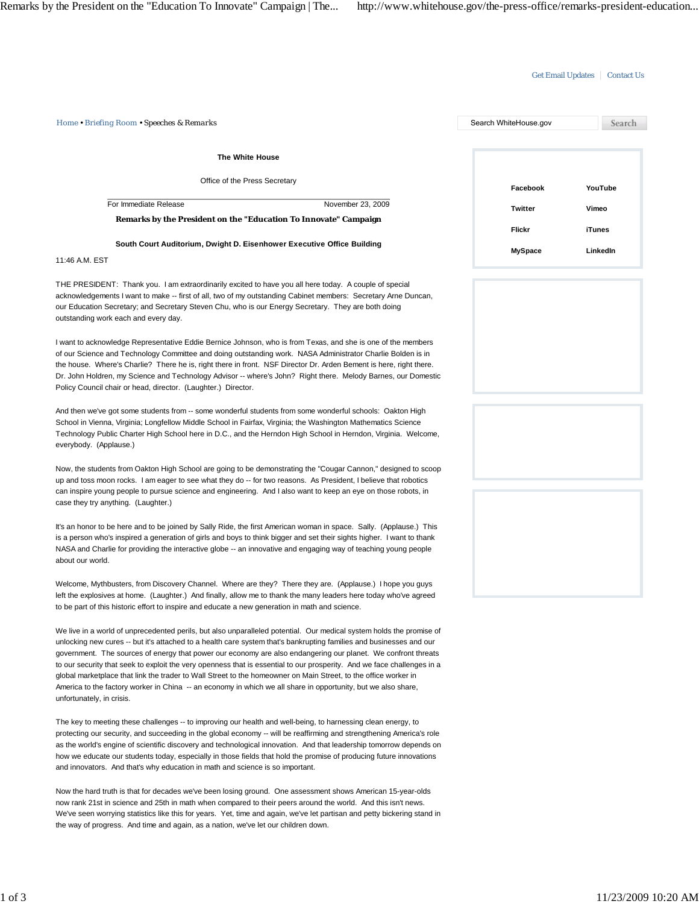# Get Email Updates | Contact Us

| Home • Briefing Room • Speeches & Remarks                                                                                                                                                                                                                                                                                                                                                                                                                                                                                                                                                                                                                                                                                                                | Search WhiteHouse.gov | Search   |
|----------------------------------------------------------------------------------------------------------------------------------------------------------------------------------------------------------------------------------------------------------------------------------------------------------------------------------------------------------------------------------------------------------------------------------------------------------------------------------------------------------------------------------------------------------------------------------------------------------------------------------------------------------------------------------------------------------------------------------------------------------|-----------------------|----------|
| The White House                                                                                                                                                                                                                                                                                                                                                                                                                                                                                                                                                                                                                                                                                                                                          |                       |          |
| Office of the Press Secretary                                                                                                                                                                                                                                                                                                                                                                                                                                                                                                                                                                                                                                                                                                                            | Facebook              | YouTube  |
| For Immediate Release<br>November 23, 2009                                                                                                                                                                                                                                                                                                                                                                                                                                                                                                                                                                                                                                                                                                               | Twitter               | Vimeo    |
| Remarks by the President on the "Education To Innovate" Campaign                                                                                                                                                                                                                                                                                                                                                                                                                                                                                                                                                                                                                                                                                         | Flickr                | iTunes   |
| South Court Auditorium, Dwight D. Eisenhower Executive Office Building                                                                                                                                                                                                                                                                                                                                                                                                                                                                                                                                                                                                                                                                                   |                       |          |
| 11:46 A.M. EST                                                                                                                                                                                                                                                                                                                                                                                                                                                                                                                                                                                                                                                                                                                                           | <b>MySpace</b>        | LinkedIn |
| THE PRESIDENT: Thank you. I am extraordinarily excited to have you all here today. A couple of special<br>acknowledgements I want to make -- first of all, two of my outstanding Cabinet members: Secretary Arne Duncan,<br>our Education Secretary; and Secretary Steven Chu, who is our Energy Secretary. They are both doing<br>outstanding work each and every day.                                                                                                                                                                                                                                                                                                                                                                                  |                       |          |
| I want to acknowledge Representative Eddie Bernice Johnson, who is from Texas, and she is one of the members<br>of our Science and Technology Committee and doing outstanding work. NASA Administrator Charlie Bolden is in<br>the house. Where's Charlie? There he is, right there in front. NSF Director Dr. Arden Bement is here, right there.<br>Dr. John Holdren, my Science and Technology Advisor -- where's John? Right there. Melody Barnes, our Domestic<br>Policy Council chair or head, director. (Laughter.) Director.                                                                                                                                                                                                                      |                       |          |
| And then we've got some students from -- some wonderful students from some wonderful schools: Oakton High<br>School in Vienna, Virginia; Longfellow Middle School in Fairfax, Virginia; the Washington Mathematics Science<br>Technology Public Charter High School here in D.C., and the Herndon High School in Herndon, Virginia. Welcome,<br>everybody. (Applause.)                                                                                                                                                                                                                                                                                                                                                                                   |                       |          |
| Now, the students from Oakton High School are going to be demonstrating the "Cougar Cannon," designed to scoop<br>up and toss moon rocks. I am eager to see what they do -- for two reasons. As President, I believe that robotics<br>can inspire young people to pursue science and engineering. And I also want to keep an eye on those robots, in<br>case they try anything. (Laughter.)                                                                                                                                                                                                                                                                                                                                                              |                       |          |
| It's an honor to be here and to be joined by Sally Ride, the first American woman in space. Sally. (Applause.) This<br>is a person who's inspired a generation of girls and boys to think bigger and set their sights higher. I want to thank<br>NASA and Charlie for providing the interactive globe -- an innovative and engaging way of teaching young people<br>about our world.                                                                                                                                                                                                                                                                                                                                                                     |                       |          |
| Welcome, Mythbusters, from Discovery Channel. Where are they? There they are. (Applause.) I hope you guys<br>left the explosives at home. (Laughter.) And finally, allow me to thank the many leaders here today who've agreed<br>to be part of this historic effort to inspire and educate a new generation in math and science.                                                                                                                                                                                                                                                                                                                                                                                                                        |                       |          |
| We live in a world of unprecedented perils, but also unparalleled potential. Our medical system holds the promise of<br>unlocking new cures -- but it's attached to a health care system that's bankrupting families and businesses and our<br>government. The sources of energy that power our economy are also endangering our planet. We confront threats<br>to our security that seek to exploit the very openness that is essential to our prosperity. And we face challenges in a<br>global marketplace that link the trader to Wall Street to the homeowner on Main Street, to the office worker in<br>America to the factory worker in China -- an economy in which we all share in opportunity, but we also share,<br>unfortunately, in crisis. |                       |          |
| The key to meeting these challenges -- to improving our health and well-being, to harnessing clean energy, to<br>protecting our security, and succeeding in the global economy -- will be reaffirming and strengthening America's role<br>as the world's engine of scientific discovery and technological innovation. And that leadership tomorrow depends on<br>how we educate our students today, especially in those fields that hold the promise of producing future innovations<br>and innovators. And that's why education in math and science is so important.                                                                                                                                                                                    |                       |          |

Now the hard truth is that for decades we've been losing ground. One assessment shows American 15-year-olds now rank 21st in science and 25th in math when compared to their peers around the world. And this isn't news. We've seen worrying statistics like this for years. Yet, time and again, we've let partisan and petty bickering stand in the way of progress. And time and again, as a nation, we've let our children down.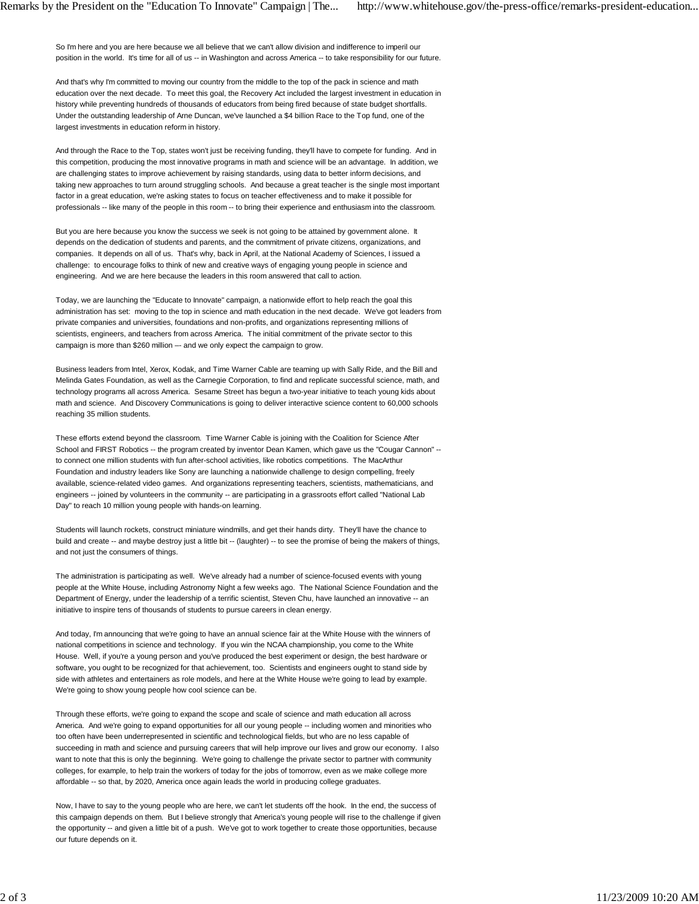So I'm here and you are here because we all believe that we can't allow division and indifference to imperil our position in the world. It's time for all of us -- in Washington and across America -- to take responsibility for our future.

And that's why I'm committed to moving our country from the middle to the top of the pack in science and math education over the next decade. To meet this goal, the Recovery Act included the largest investment in education in history while preventing hundreds of thousands of educators from being fired because of state budget shortfalls. Under the outstanding leadership of Arne Duncan, we've launched a \$4 billion Race to the Top fund, one of the largest investments in education reform in history.

And through the Race to the Top, states won't just be receiving funding, they'll have to compete for funding. And in this competition, producing the most innovative programs in math and science will be an advantage. In addition, we are challenging states to improve achievement by raising standards, using data to better inform decisions, and taking new approaches to turn around struggling schools. And because a great teacher is the single most important factor in a great education, we're asking states to focus on teacher effectiveness and to make it possible for professionals -- like many of the people in this room -- to bring their experience and enthusiasm into the classroom.

But you are here because you know the success we seek is not going to be attained by government alone. It depends on the dedication of students and parents, and the commitment of private citizens, organizations, and companies. It depends on all of us. That's why, back in April, at the National Academy of Sciences, I issued a challenge: to encourage folks to think of new and creative ways of engaging young people in science and engineering. And we are here because the leaders in this room answered that call to action.

Today, we are launching the "Educate to Innovate" campaign, a nationwide effort to help reach the goal this administration has set: moving to the top in science and math education in the next decade. We've got leaders from private companies and universities, foundations and non-profits, and organizations representing millions of scientists, engineers, and teachers from across America. The initial commitment of the private sector to this campaign is more than \$260 million –- and we only expect the campaign to grow.

Business leaders from Intel, Xerox, Kodak, and Time Warner Cable are teaming up with Sally Ride, and the Bill and Melinda Gates Foundation, as well as the Carnegie Corporation, to find and replicate successful science, math, and technology programs all across America. Sesame Street has begun a two-year initiative to teach young kids about math and science. And Discovery Communications is going to deliver interactive science content to 60,000 schools reaching 35 million students.

These efforts extend beyond the classroom. Time Warner Cable is joining with the Coalition for Science After School and FIRST Robotics -- the program created by inventor Dean Kamen, which gave us the "Cougar Cannon" - to connect one million students with fun after-school activities, like robotics competitions. The MacArthur Foundation and industry leaders like Sony are launching a nationwide challenge to design compelling, freely available, science-related video games. And organizations representing teachers, scientists, mathematicians, and engineers -- joined by volunteers in the community -- are participating in a grassroots effort called "National Lab Day" to reach 10 million young people with hands-on learning.

Students will launch rockets, construct miniature windmills, and get their hands dirty. They'll have the chance to build and create -- and maybe destroy just a little bit -- (laughter) -- to see the promise of being the makers of things, and not just the consumers of things.

The administration is participating as well. We've already had a number of science-focused events with young people at the White House, including Astronomy Night a few weeks ago. The National Science Foundation and the Department of Energy, under the leadership of a terrific scientist, Steven Chu, have launched an innovative -- an initiative to inspire tens of thousands of students to pursue careers in clean energy.

And today, I'm announcing that we're going to have an annual science fair at the White House with the winners of national competitions in science and technology. If you win the NCAA championship, you come to the White House. Well, if you're a young person and you've produced the best experiment or design, the best hardware or software, you ought to be recognized for that achievement, too. Scientists and engineers ought to stand side by side with athletes and entertainers as role models, and here at the White House we're going to lead by example. We're going to show young people how cool science can be.

Through these efforts, we're going to expand the scope and scale of science and math education all across America. And we're going to expand opportunities for all our young people -- including women and minorities who too often have been underrepresented in scientific and technological fields, but who are no less capable of succeeding in math and science and pursuing careers that will help improve our lives and grow our economy. I also want to note that this is only the beginning. We're going to challenge the private sector to partner with community colleges, for example, to help train the workers of today for the jobs of tomorrow, even as we make college more affordable -- so that, by 2020, America once again leads the world in producing college graduates.

Now, I have to say to the young people who are here, we can't let students off the hook. In the end, the success of this campaign depends on them. But I believe strongly that America's young people will rise to the challenge if given the opportunity -- and given a little bit of a push. We've got to work together to create those opportunities, because our future depends on it.